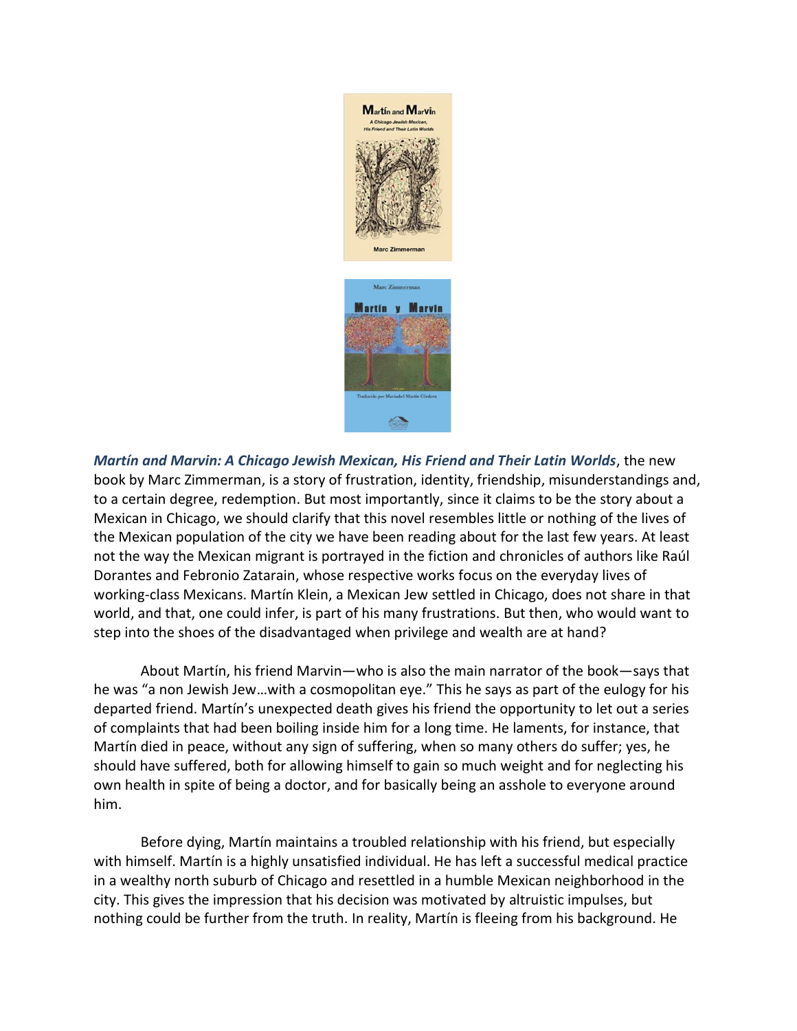

*Martín and Marvin: A Chicago Jewish Mexican, His Friend and Their Latin Worlds*, the new book by Marc Zimmerman, is a story of frustration, identity, friendship, misunderstandings and, to a certain degree, redemption. But most importantly, since it claims to be the story about a Mexican in Chicago, we should clarify that this novel resembles little or nothing of the lives of the Mexican population of the city we have been reading about for the last few years. At least not the way the Mexican migrant is portrayed in the fiction and chronicles of authors like Raúl Dorantes and Febronio Zatarain, whose respective works focus on the everyday lives of working-class Mexicans. Martín Klein, a Mexican Jew settled in Chicago, does not share in that world, and that, one could infer, is part of his many frustrations. But then, who would want to step into the shoes of the disadvantaged when privilege and wealth are at hand?

About Martín, his friend Marvin—who is also the main narrator of the book—says that he was "a non Jewish Jew…with a cosmopolitan eye." This he says as part of the eulogy for his departed friend. Martín's unexpected death gives his friend the opportunity to let out a series of complaints that had been boiling inside him for a long time. He laments, for instance, that Martín died in peace, without any sign of suffering, when so many others do suffer; yes, he should have suffered, both for allowing himself to gain so much weight and for neglecting his own health in spite of being a doctor, and for basically being an asshole to everyone around him.

Before dying, Martín maintains a troubled relationship with his friend, but especially with himself. Martín is a highly unsatisfied individual. He has left a successful medical practice in a wealthy north suburb of Chicago and resettled in a humble Mexican neighborhood in the city. This gives the impression that his decision was motivated by altruistic impulses, but nothing could be further from the truth. In reality, Martín is fleeing from his background. He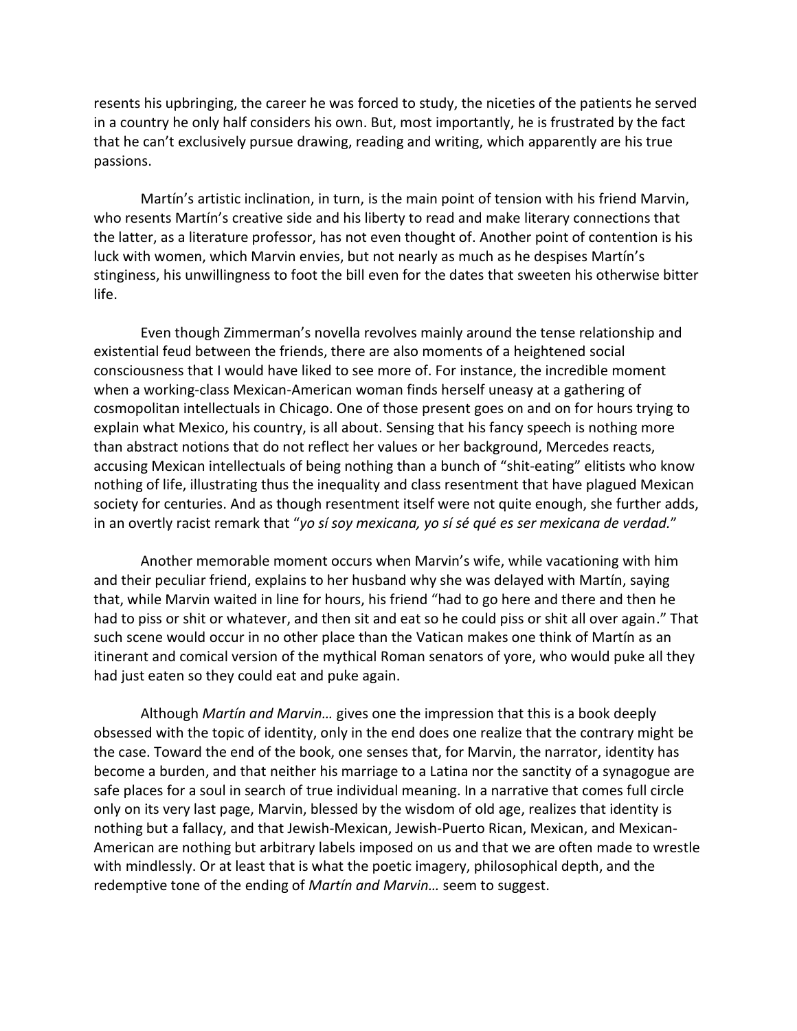resents his upbringing, the career he was forced to study, the niceties of the patients he served in a country he only half considers his own. But, most importantly, he is frustrated by the fact that he can't exclusively pursue drawing, reading and writing, which apparently are his true passions.

Martín's artistic inclination, in turn, is the main point of tension with his friend Marvin, who resents Martín's creative side and his liberty to read and make literary connections that the latter, as a literature professor, has not even thought of. Another point of contention is his luck with women, which Marvin envies, but not nearly as much as he despises Martín's stinginess, his unwillingness to foot the bill even for the dates that sweeten his otherwise bitter life.

Even though Zimmerman's novella revolves mainly around the tense relationship and existential feud between the friends, there are also moments of a heightened social consciousness that I would have liked to see more of. For instance, the incredible moment when a working-class Mexican-American woman finds herself uneasy at a gathering of cosmopolitan intellectuals in Chicago. One of those present goes on and on for hours trying to explain what Mexico, his country, is all about. Sensing that his fancy speech is nothing more than abstract notions that do not reflect her values or her background, Mercedes reacts, accusing Mexican intellectuals of being nothing than a bunch of "shit-eating" elitists who know nothing of life, illustrating thus the inequality and class resentment that have plagued Mexican society for centuries. And as though resentment itself were not quite enough, she further adds, in an overtly racist remark that "*yo sí soy mexicana, yo sí sé qué es ser mexicana de verdad.*"

Another memorable moment occurs when Marvin's wife, while vacationing with him and their peculiar friend, explains to her husband why she was delayed with Martín, saying that, while Marvin waited in line for hours, his friend "had to go here and there and then he had to piss or shit or whatever, and then sit and eat so he could piss or shit all over again." That such scene would occur in no other place than the Vatican makes one think of Martín as an itinerant and comical version of the mythical Roman senators of yore, who would puke all they had just eaten so they could eat and puke again.

Although *Martín and Marvin…* gives one the impression that this is a book deeply obsessed with the topic of identity, only in the end does one realize that the contrary might be the case. Toward the end of the book, one senses that, for Marvin, the narrator, identity has become a burden, and that neither his marriage to a Latina nor the sanctity of a synagogue are safe places for a soul in search of true individual meaning. In a narrative that comes full circle only on its very last page, Marvin, blessed by the wisdom of old age, realizes that identity is nothing but a fallacy, and that Jewish-Mexican, Jewish-Puerto Rican, Mexican, and Mexican-American are nothing but arbitrary labels imposed on us and that we are often made to wrestle with mindlessly. Or at least that is what the poetic imagery, philosophical depth, and the redemptive tone of the ending of *Martín and Marvin…* seem to suggest.